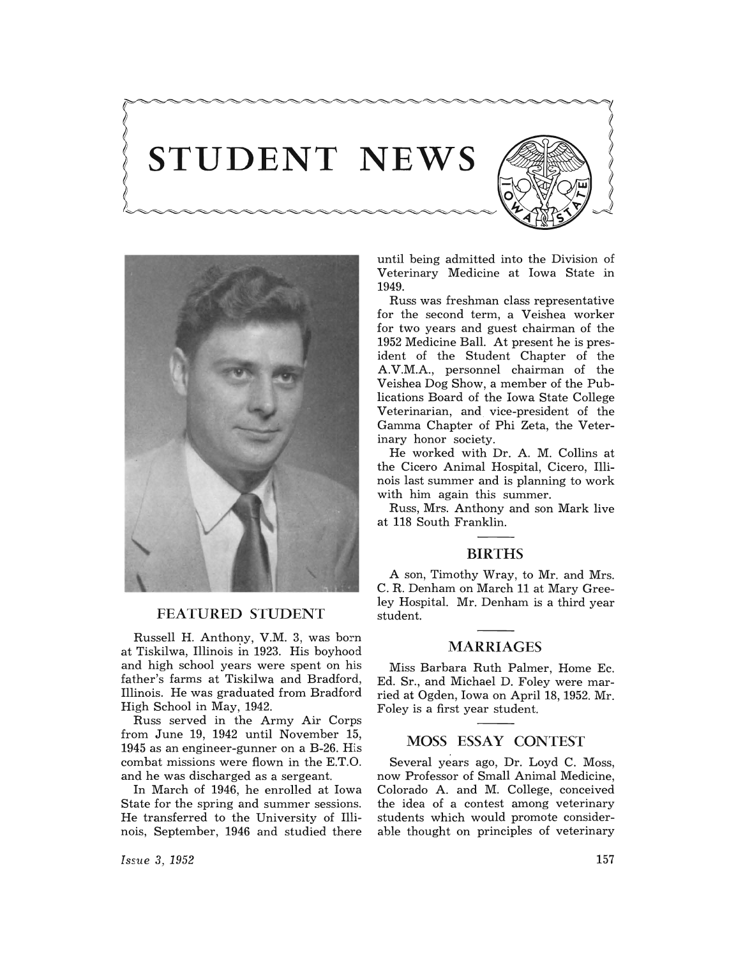# STUDENT NEWS





#### FEATURED STUDENT

Russell H. Anthony, V.M. 3, was born at Tiskilwa, Illinois in 1923. His boyhood and high school years were spent on his father's farms at Tiskilwa and Bradford, Illinois. He was graduated from Bradford High School in May, 1942.

Russ served in the Army Air Corps from June 19, 1942 until November 15, 1945 as an engineer-gunner on a B-26. His combat missions were flown in the E.T.O. and he was discharged as a sergeant.

In March of 1946, he enrolled at Iowa State for the spring and summer sessions. He transferred to the University of Illinois, September, 1946 and studied there

*Issue* 3, 1952

until being admitted into the Division of Veterinary Medicine at Iowa State in 1949.

Russ was freshman class representative for the second term, a Veishea worker for two years and guest chairman of the 1952 Medicine Ball. At present he is president of the Student Chapter of the A.V.M.A., personnel chairman of the Veishea Dog Show, a member of the Publications Board of the Iowa State College Veterinarian, and vice-president of the Gamma Chapter of Phi Zeta, the Veterinary honor society.

He worked with Dr. A. M. Collins at the Cicero Animal Hospital, Cicero, Illinois last summer and is planning to work with him again this summer.

Russ, Mrs. Anthony and son Mark live at 118 South Franklin.

#### BIRTHS

A son, Timothy Wray, to Mr. and Mrs. C. R. Denham on March 11 at Mary Greeley Hospital. Mr. Denham is a third year student.

#### MARRIAGES

Miss Barbara Ruth Palmer, Home Ec. Ed. Sr., and Michael D. Foley were married at Ogden, Iowa on April 18, 1952. Mr. Foley is a first year student.

### MOSS ESSAY CONTEST

Several years ago, Dr. Loyd C. Moss, now Professor of Small Animal Medicine, Colorado A. and M. College, conceived the idea of a contest among veterinary students which would promote considerable thought on principles of veterinary